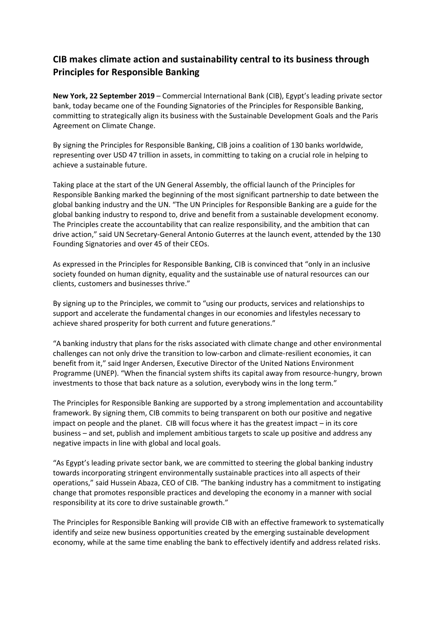## **CIB makes climate action and sustainability central to its business through Principles for Responsible Banking**

**New York, 22 September 2019** – Commercial International Bank (CIB), Egypt's leading private sector bank, today became one of the Founding Signatories of the Principles for Responsible Banking, committing to strategically align its business with the Sustainable Development Goals and the Paris Agreement on Climate Change.

By signing the Principles for Responsible Banking, CIB joins a coalition of 130 banks worldwide, representing over USD 47 trillion in assets, in committing to taking on a crucial role in helping to achieve a sustainable future.

Taking place at the start of the UN General Assembly, the official launch of the Principles for Responsible Banking marked the beginning of the most significant partnership to date between the global banking industry and the UN. "The UN Principles for Responsible Banking are a guide for the global banking industry to respond to, drive and benefit from a sustainable development economy. The Principles create the accountability that can realize responsibility, and the ambition that can drive action," said UN Secretary-General Antonio Guterres at the launch event, attended by the 130 Founding Signatories and over 45 of their CEOs.

As expressed in the Principles for Responsible Banking, CIB is convinced that "only in an inclusive society founded on human dignity, equality and the sustainable use of natural resources can our clients, customers and businesses thrive."

By signing up to the Principles, we commit to "using our products, services and relationships to support and accelerate the fundamental changes in our economies and lifestyles necessary to achieve shared prosperity for both current and future generations."

"A banking industry that plans for the risks associated with climate change and other environmental challenges can not only drive the transition to low-carbon and climate-resilient economies, it can benefit from it," said Inger Andersen, Executive Director of the United Nations Environment Programme (UNEP). "When the financial system shifts its capital away from resource-hungry, brown investments to those that back nature as a solution, everybody wins in the long term."

The Principles for Responsible Banking are supported by a strong implementation and accountability framework. By signing them, CIB commits to being transparent on both our positive and negative impact on people and the planet. CIB will focus where it has the greatest impact – in its core business – and set, publish and implement ambitious targets to scale up positive and address any negative impacts in line with global and local goals.

"As Egypt's leading private sector bank, we are committed to steering the global banking industry towards incorporating stringent environmentally sustainable practices into all aspects of their operations," said Hussein Abaza, CEO of CIB. "The banking industry has a commitment to instigating change that promotes responsible practices and developing the economy in a manner with social responsibility at its core to drive sustainable growth."

The Principles for Responsible Banking will provide CIB with an effective framework to systematically identify and seize new business opportunities created by the emerging sustainable development economy, while at the same time enabling the bank to effectively identify and address related risks.